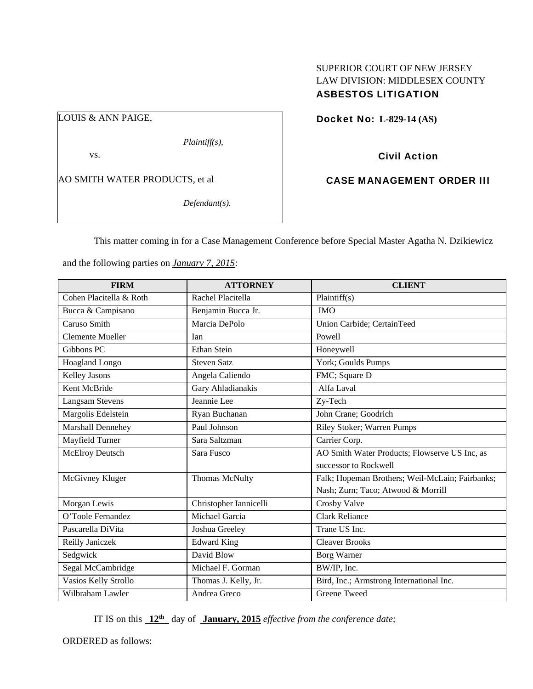# SUPERIOR COURT OF NEW JERSEY LAW DIVISION: MIDDLESEX COUNTY ASBESTOS LITIGATION

LOUIS & ANN PAIGE,

*Plaintiff(s),* 

vs.

AO SMITH WATER PRODUCTS, et al

*Defendant(s).* 

Docket No: **L-829-14 (AS)** 

Civil Action

CASE MANAGEMENT ORDER III

This matter coming in for a Case Management Conference before Special Master Agatha N. Dzikiewicz

and the following parties on *January 7, 2015*:

| <b>FIRM</b>             | <b>ATTORNEY</b>        | <b>CLIENT</b>                                   |
|-------------------------|------------------------|-------------------------------------------------|
| Cohen Placitella & Roth | Rachel Placitella      | Plaintiff(s)                                    |
| Bucca & Campisano       | Benjamin Bucca Jr.     | <b>IMO</b>                                      |
| Caruso Smith            | Marcia DePolo          | Union Carbide; CertainTeed                      |
| <b>Clemente Mueller</b> | <b>I</b> an            | Powell                                          |
| Gibbons PC              | Ethan Stein            | Honeywell                                       |
| Hoagland Longo          | <b>Steven Satz</b>     | York; Goulds Pumps                              |
| Kelley Jasons           | Angela Caliendo        | FMC; Square D                                   |
| Kent McBride            | Gary Ahladianakis      | Alfa Laval                                      |
| <b>Langsam Stevens</b>  | Jeannie Lee            | Zy-Tech                                         |
| Margolis Edelstein      | Ryan Buchanan          | John Crane; Goodrich                            |
| Marshall Dennehey       | Paul Johnson           | Riley Stoker; Warren Pumps                      |
| Mayfield Turner         | Sara Saltzman          | Carrier Corp.                                   |
| McElroy Deutsch         | Sara Fusco             | AO Smith Water Products; Flowserve US Inc, as   |
|                         |                        | successor to Rockwell                           |
| McGivney Kluger         | <b>Thomas McNulty</b>  | Falk; Hopeman Brothers; Weil-McLain; Fairbanks; |
|                         |                        | Nash; Zurn; Taco; Atwood & Morrill              |
| Morgan Lewis            | Christopher Iannicelli | Crosby Valve                                    |
| O'Toole Fernandez       | Michael Garcia         | <b>Clark Reliance</b>                           |
| Pascarella DiVita       | Joshua Greeley         | Trane US Inc.                                   |
| Reilly Janiczek         | <b>Edward King</b>     | <b>Cleaver Brooks</b>                           |
| Sedgwick                | David Blow             | <b>Borg Warner</b>                              |
| Segal McCambridge       | Michael F. Gorman      | BW/IP, Inc.                                     |
| Vasios Kelly Strollo    | Thomas J. Kelly, Jr.   | Bird, Inc.; Armstrong International Inc.        |
| Wilbraham Lawler        | Andrea Greco           | <b>Greene Tweed</b>                             |

IT IS on this **12th** day of **January, 2015** *effective from the conference date;*

ORDERED as follows: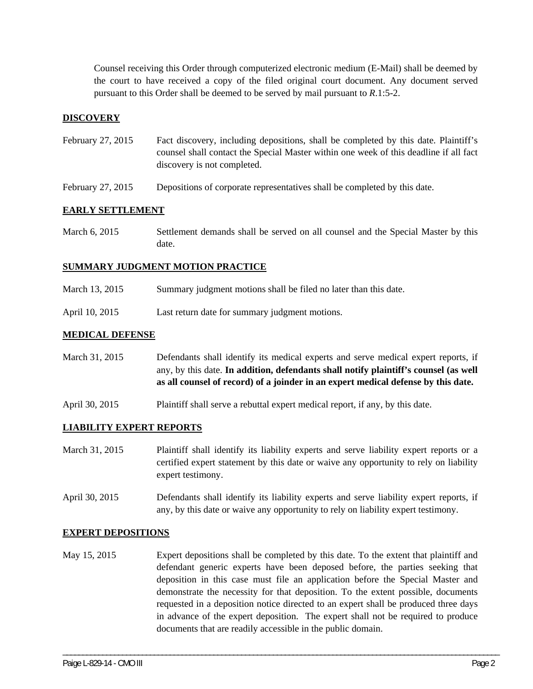Counsel receiving this Order through computerized electronic medium (E-Mail) shall be deemed by the court to have received a copy of the filed original court document. Any document served pursuant to this Order shall be deemed to be served by mail pursuant to *R*.1:5-2.

## **DISCOVERY**

- February 27, 2015 Fact discovery, including depositions, shall be completed by this date. Plaintiff's counsel shall contact the Special Master within one week of this deadline if all fact discovery is not completed.
- February 27, 2015 Depositions of corporate representatives shall be completed by this date.

## **EARLY SETTLEMENT**

March 6, 2015 Settlement demands shall be served on all counsel and the Special Master by this date.

#### **SUMMARY JUDGMENT MOTION PRACTICE**

- March 13, 2015 Summary judgment motions shall be filed no later than this date.
- April 10, 2015 Last return date for summary judgment motions.

## **MEDICAL DEFENSE**

March 31, 2015 Defendants shall identify its medical experts and serve medical expert reports, if any, by this date. **In addition, defendants shall notify plaintiff's counsel (as well as all counsel of record) of a joinder in an expert medical defense by this date.**

April 30, 2015 Plaintiff shall serve a rebuttal expert medical report, if any, by this date.

## **LIABILITY EXPERT REPORTS**

- March 31, 2015 Plaintiff shall identify its liability experts and serve liability expert reports or a certified expert statement by this date or waive any opportunity to rely on liability expert testimony.
- April 30, 2015 Defendants shall identify its liability experts and serve liability expert reports, if any, by this date or waive any opportunity to rely on liability expert testimony.

#### **EXPERT DEPOSITIONS**

May 15, 2015 Expert depositions shall be completed by this date. To the extent that plaintiff and defendant generic experts have been deposed before, the parties seeking that deposition in this case must file an application before the Special Master and demonstrate the necessity for that deposition. To the extent possible, documents requested in a deposition notice directed to an expert shall be produced three days in advance of the expert deposition. The expert shall not be required to produce documents that are readily accessible in the public domain.

\_\_\_\_\_\_\_\_\_\_\_\_\_\_\_\_\_\_\_\_\_\_\_\_\_\_\_\_\_\_\_\_\_\_\_\_\_\_\_\_\_\_\_\_\_\_\_\_\_\_\_\_\_\_\_\_\_\_\_\_\_\_\_\_\_\_\_\_\_\_\_\_\_\_\_\_\_\_\_\_\_\_\_\_\_\_\_\_\_\_\_\_\_\_\_\_\_\_\_\_\_\_\_\_\_\_\_\_\_\_